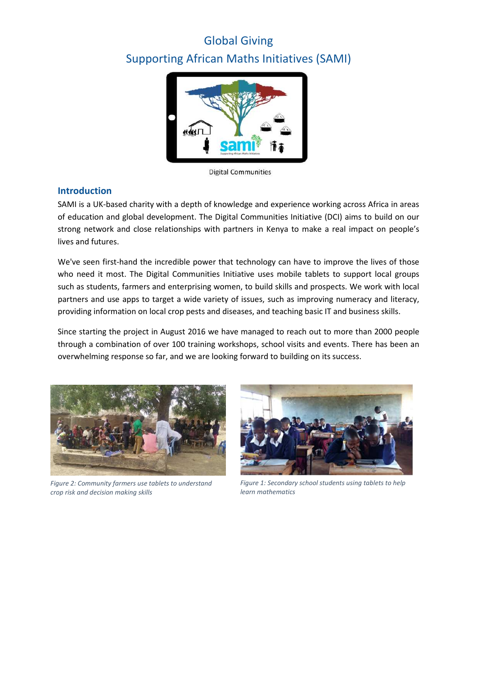# Global Giving Supporting African Maths Initiatives (SAMI)



**Digital Communities** 

### **Introduction**

SAMI is a UK-based charity with a depth of knowledge and experience working across Africa in areas of education and global development. The Digital Communities Initiative (DCI) aims to build on our strong network and close relationships with partners in Kenya to make a real impact on people's lives and futures.

We've seen first-hand the incredible power that technology can have to improve the lives of those who need it most. The Digital Communities Initiative uses mobile tablets to support local groups such as students, farmers and enterprising women, to build skills and prospects. We work with local partners and use apps to target a wide variety of issues, such as improving numeracy and literacy, providing information on local crop pests and diseases, and teaching basic IT and business skills.

Since starting the project in August 2016 we have managed to reach out to more than 2000 people through a combination of over 100 training workshops, school visits and events. There has been an overwhelming response so far, and we are looking forward to building on its success.



*Figure 2: Community farmers use tablets to understand crop risk and decision making skills*



*Figure 1: Secondary school students using tablets to help learn mathematics*